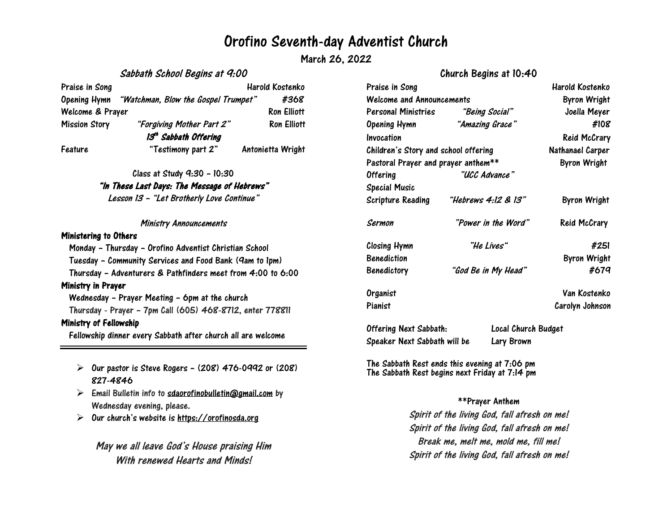# Orofino Seventh-day Adventist Church

March 26, 2022

## Sabbath School Begins at 9:00

# Praise in Song New York 1988 and Harold Kostenko Opening Hymn "Watchman, Blow the Gospel Trumpet" #368 Welcome & Prayer **Ron** Elliott Mission Story "Forgiving Mother Part 2" Ron Elliott 13<sup>th</sup> Sabbath Offering Feature "Testimony part 2" Antonietta Wright

Class at Study 9:30 – 10:30

### "In These Last Days: The Message of Hebrews"

Lesson <sup>13</sup> – "Let Brotherly Love Continue"

#### Ministry Announcements

#### Ministering to Others

Monday – Thursday – Orofino Adventist Christian School Tuesday – Community Services and Food Bank (9am to 1pm) Thursday – Adventurers & Pathfinders meet from 4:00 to 6:00 Ministry in Prayer Wednesday – Prayer Meeting – 6pm at the church Thursday - Prayer – 7pm Call (605) 468-8712, enter 778811 Ministry of Fellowship Fellowship dinner every Sabbath after church all are welcome

- $\triangleright$  Our pastor is Steve Rogers (208) 476-0992 or (208) 827-4846
- $\triangleright$  Email Bulletin info to [sdaorofinobulletin@gmail.com](mailto:sdaorofinobulletin@gmail.com) by Wednesday evening, please.
- $\triangleright$ Our church's website is [https://orofinosda.org](https://orofinosda.org/)

May we all leave God's House praising Him With renewed Hearts and Minds!

# Church Begins at 10:40

| Praise in Song<br>Welcome and Announcements                                 |                     | Harold Kostenko<br><b>Byron Wright</b>  |
|-----------------------------------------------------------------------------|---------------------|-----------------------------------------|
|                                                                             |                     |                                         |
| <b>Opening Hymn</b>                                                         | "Amazing Grace"     | #108                                    |
| Invocation                                                                  |                     | <b>Reid McCrary</b>                     |
| Children's Story and school offering<br>Pastoral Prayer and prayer anthem** |                     | Nathanael Carper<br><b>Byron Wright</b> |
|                                                                             |                     |                                         |
| <b>Special Music</b>                                                        |                     |                                         |
| <b>Scripture Reading</b>                                                    | "Hebrews 4:12 & 13" | <b>Byron Wright</b>                     |
| Sermon                                                                      | "Power in the Word" | <b>Reid McCrary</b>                     |
| Closing Hymn                                                                | "He Lives"          | #251                                    |
| <b>Benediction</b>                                                          |                     | <b>Byron Wright</b>                     |
| <b>Benedictory</b>                                                          | "God Be in My Head" | #679                                    |
| Organist                                                                    |                     | Van Kostenko                            |
| Pianist                                                                     |                     | Carolyn Johnson                         |
|                                                                             |                     |                                         |

Offering Next Sabbath: Local Church Budget Speaker Next Sabbath will be Lary Brown

The Sabbath Rest ends this evening at 7:06 pm The Sabbath Rest begins next Friday at 7:14 pm

### \*\*Prayer Anthem

Spirit of the living God, fall afresh on me! Spirit of the living God, fall afresh on me! Break me, melt me, mold me, fill me! Spirit of the living God, fall afresh on me!